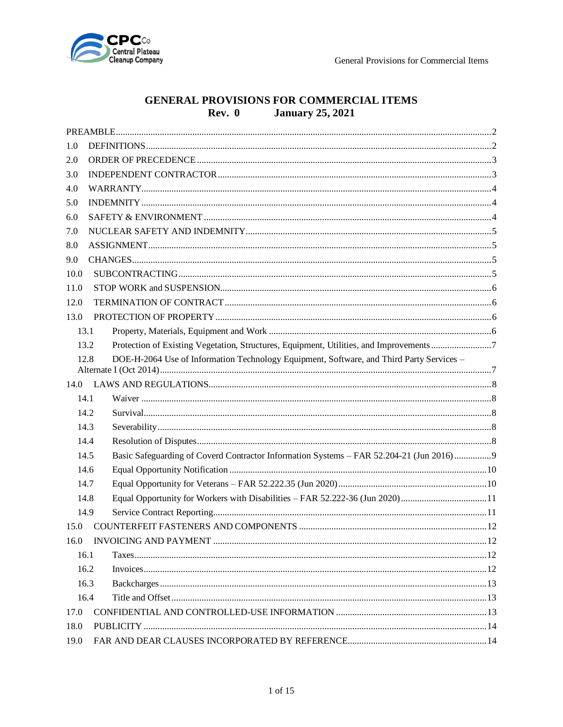

#### **GENERAL PROVISIONS FOR COMMERCIAL ITEMS January 25, 2021** Rev. 0

| 1.0                                                                                               |  |
|---------------------------------------------------------------------------------------------------|--|
| 2.0                                                                                               |  |
| 3.0                                                                                               |  |
| 4.0                                                                                               |  |
| 5.0                                                                                               |  |
| 6.0                                                                                               |  |
| 7.0                                                                                               |  |
| 8.0                                                                                               |  |
| 9.0                                                                                               |  |
| 10.0                                                                                              |  |
| 11.0                                                                                              |  |
| 12.0                                                                                              |  |
| 13.0                                                                                              |  |
| 13.1                                                                                              |  |
| Protection of Existing Vegetation, Structures, Equipment, Utilities, and Improvements7<br>13.2    |  |
| DOE-H-2064 Use of Information Technology Equipment, Software, and Third Party Services -<br>12.8  |  |
|                                                                                                   |  |
| 14.1                                                                                              |  |
| 14.2                                                                                              |  |
| 14.3                                                                                              |  |
| 14.4                                                                                              |  |
| Basic Safeguarding of Coverd Contractor Information Systems - FAR 52.204-21 (Jun 2016)  9<br>14.5 |  |
| 14.6                                                                                              |  |
| 14.7                                                                                              |  |
| 14.8                                                                                              |  |
| 14.9                                                                                              |  |
| 15.0                                                                                              |  |
| 16.0                                                                                              |  |
| 16.1                                                                                              |  |
| 16.2                                                                                              |  |
| 16.3                                                                                              |  |
| 16.4                                                                                              |  |
| 17.0                                                                                              |  |
| 18.0                                                                                              |  |
| 19.0                                                                                              |  |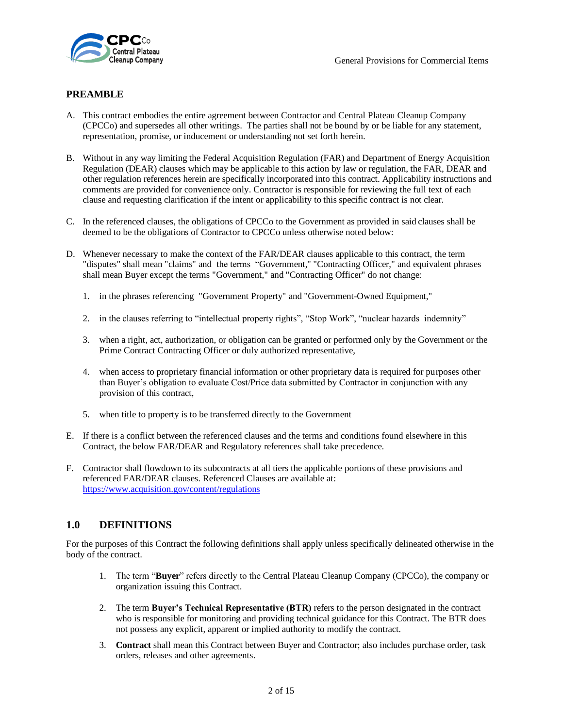

#### <span id="page-1-0"></span>**PREAMBLE**

- A. This contract embodies the entire agreement between Contractor and Central Plateau Cleanup Company (CPCCo) and supersedes all other writings. The parties shall not be bound by or be liable for any statement, representation, promise, or inducement or understanding not set forth herein.
- B. Without in any way limiting the Federal Acquisition Regulation (FAR) and Department of Energy Acquisition Regulation (DEAR) clauses which may be applicable to this action by law or regulation, the FAR, DEAR and other regulation references herein are specifically incorporated into this contract. Applicability instructions and comments are provided for convenience only. Contractor is responsible for reviewing the full text of each clause and requesting clarification if the intent or applicability to this specific contract is not clear.
- C. In the referenced clauses, the obligations of CPCCo to the Government as provided in said clauses shall be deemed to be the obligations of Contractor to CPCCo unless otherwise noted below:
- D. Whenever necessary to make the context of the FAR/DEAR clauses applicable to this contract, the term "disputes" shall mean "claims" and the terms "Government," "Contracting Officer," and equivalent phrases shall mean Buyer except the terms "Government," and "Contracting Officer" do not change:
	- 1. in the phrases referencing "Government Property" and "Government-Owned Equipment,"
	- 2. in the clauses referring to "intellectual property rights", "Stop Work", "nuclear hazards indemnity"
	- 3. when a right, act, authorization, or obligation can be granted or performed only by the Government or the Prime Contract Contracting Officer or duly authorized representative,
	- 4. when access to proprietary financial information or other proprietary data is required for purposes other than Buyer's obligation to evaluate Cost/Price data submitted by Contractor in conjunction with any provision of this contract,
	- 5. when title to property is to be transferred directly to the Government
- E. If there is a conflict between the referenced clauses and the terms and conditions found elsewhere in this Contract, the below FAR/DEAR and Regulatory references shall take precedence.
- F. Contractor shall flowdown to its subcontracts at all tiers the applicable portions of these provisions and referenced FAR/DEAR clauses. Referenced Clauses are available at: <https://www.acquisition.gov/content/regulations>

### <span id="page-1-1"></span>**1.0 DEFINITIONS**

For the purposes of this Contract the following definitions shall apply unless specifically delineated otherwise in the body of the contract.

- 1. The term "**Buyer**" refers directly to the Central Plateau Cleanup Company (CPCCo), the company or organization issuing this Contract.
- 2. The term **Buyer's Technical Representative (BTR)** refers to the person designated in the contract who is responsible for monitoring and providing technical guidance for this Contract. The BTR does not possess any explicit, apparent or implied authority to modify the contract.
- 3. **Contract** shall mean this Contract between Buyer and Contractor; also includes purchase order, task orders, releases and other agreements.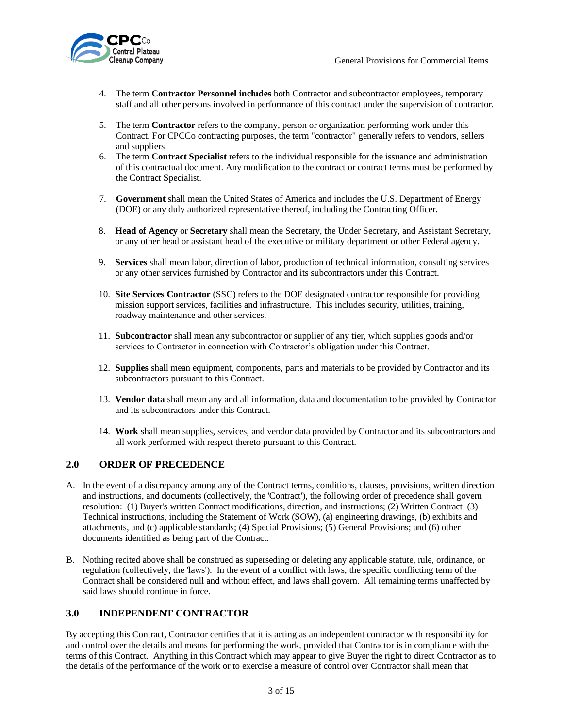

- 4. The term **Contractor Personnel includes** both Contractor and subcontractor employees, temporary staff and all other persons involved in performance of this contract under the supervision of contractor.
- 5. The term **Contractor** refers to the company, person or organization performing work under this Contract. For CPCCo contracting purposes, the term "contractor" generally refers to vendors, sellers and suppliers.
- 6. The term **Contract Specialist** refers to the individual responsible for the issuance and administration of this contractual document. Any modification to the contract or contract terms must be performed by the Contract Specialist.
- 7. **Government** shall mean the United States of America and includes the U.S. Department of Energy (DOE) or any duly authorized representative thereof, including the Contracting Officer.
- 8. **Head of Agency** or **Secretary** shall mean the Secretary, the Under Secretary, and Assistant Secretary, or any other head or assistant head of the executive or military department or other Federal agency.
- 9. **Services** shall mean labor, direction of labor, production of technical information, consulting services or any other services furnished by Contractor and its subcontractors under this Contract.
- 10. **Site Services Contractor** (SSC) refers to the DOE designated contractor responsible for providing mission support services, facilities and infrastructure. This includes security, utilities, training, roadway maintenance and other services.
- 11. **Subcontractor** shall mean any subcontractor or supplier of any tier, which supplies goods and/or services to Contractor in connection with Contractor's obligation under this Contract.
- 12. **Supplies** shall mean equipment, components, parts and materials to be provided by Contractor and its subcontractors pursuant to this Contract.
- 13. **Vendor data** shall mean any and all information, data and documentation to be provided by Contractor and its subcontractors under this Contract.
- 14. **Work** shall mean supplies, services, and vendor data provided by Contractor and its subcontractors and all work performed with respect thereto pursuant to this Contract.

### <span id="page-2-0"></span>**2.0 ORDER OF PRECEDENCE**

- A. In the event of a discrepancy among any of the Contract terms, conditions, clauses, provisions, written direction and instructions, and documents (collectively, the 'Contract'), the following order of precedence shall govern resolution: (1) Buyer's written Contract modifications, direction, and instructions; (2) Written Contract (3) Technical instructions, including the Statement of Work (SOW), (a) engineering drawings, (b) exhibits and attachments, and (c) applicable standards; (4) Special Provisions; (5) General Provisions; and (6) other documents identified as being part of the Contract.
- B. Nothing recited above shall be construed as superseding or deleting any applicable statute, rule, ordinance, or regulation (collectively, the 'laws'). In the event of a conflict with laws, the specific conflicting term of the Contract shall be considered null and without effect, and laws shall govern. All remaining terms unaffected by said laws should continue in force.

### <span id="page-2-1"></span>**3.0 INDEPENDENT CONTRACTOR**

By accepting this Contract, Contractor certifies that it is acting as an independent contractor with responsibility for and control over the details and means for performing the work, provided that Contractor is in compliance with the terms of this Contract. Anything in this Contract which may appear to give Buyer the right to direct Contractor as to the details of the performance of the work or to exercise a measure of control over Contractor shall mean that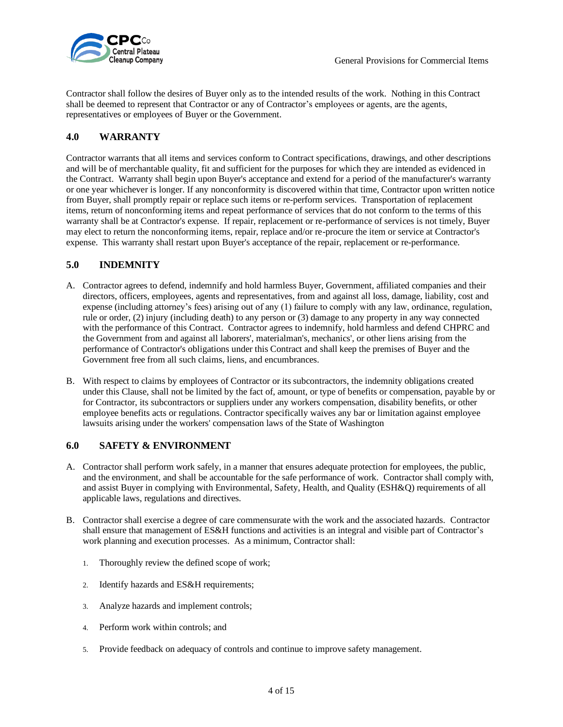

Contractor shall follow the desires of Buyer only as to the intended results of the work. Nothing in this Contract shall be deemed to represent that Contractor or any of Contractor's employees or agents, are the agents, representatives or employees of Buyer or the Government.

## <span id="page-3-0"></span>**4.0 WARRANTY**

Contractor warrants that all items and services conform to Contract specifications, drawings, and other descriptions and will be of merchantable quality, fit and sufficient for the purposes for which they are intended as evidenced in the Contract. Warranty shall begin upon Buyer's acceptance and extend for a period of the manufacturer's warranty or one year whichever is longer. If any nonconformity is discovered within that time, Contractor upon written notice from Buyer, shall promptly repair or replace such items or re-perform services. Transportation of replacement items, return of nonconforming items and repeat performance of services that do not conform to the terms of this warranty shall be at Contractor's expense. If repair, replacement or re-performance of services is not timely, Buyer may elect to return the nonconforming items, repair, replace and/or re-procure the item or service at Contractor's expense. This warranty shall restart upon Buyer's acceptance of the repair, replacement or re-performance.

### <span id="page-3-1"></span>**5.0 INDEMNITY**

- A. Contractor agrees to defend, indemnify and hold harmless Buyer, Government, affiliated companies and their directors, officers, employees, agents and representatives, from and against all loss, damage, liability, cost and expense (including attorney's fees) arising out of any (1) failure to comply with any law, ordinance, regulation, rule or order, (2) injury (including death) to any person or (3) damage to any property in any way connected with the performance of this Contract. Contractor agrees to indemnify, hold harmless and defend CHPRC and the Government from and against all laborers', materialman's, mechanics', or other liens arising from the performance of Contractor's obligations under this Contract and shall keep the premises of Buyer and the Government free from all such claims, liens, and encumbrances.
- B. With respect to claims by employees of Contractor or its subcontractors, the indemnity obligations created under this Clause, shall not be limited by the fact of, amount, or type of benefits or compensation, payable by or for Contractor, its subcontractors or suppliers under any workers compensation, disability benefits, or other employee benefits acts or regulations. Contractor specifically waives any bar or limitation against employee lawsuits arising under the workers' compensation laws of the State of Washington

### <span id="page-3-2"></span>**6.0 SAFETY & ENVIRONMENT**

- A. Contractor shall perform work safely, in a manner that ensures adequate protection for employees, the public, and the environment, and shall be accountable for the safe performance of work. Contractor shall comply with, and assist Buyer in complying with Environmental, Safety, Health, and Quality (ESH&Q) requirements of all applicable laws, regulations and directives.
- B. Contractor shall exercise a degree of care commensurate with the work and the associated hazards. Contractor shall ensure that management of ES&H functions and activities is an integral and visible part of Contractor's work planning and execution processes. As a minimum, Contractor shall:
	- 1. Thoroughly review the defined scope of work;
	- 2. Identify hazards and ES&H requirements;
	- 3. Analyze hazards and implement controls;
	- 4. Perform work within controls; and
	- 5. Provide feedback on adequacy of controls and continue to improve safety management.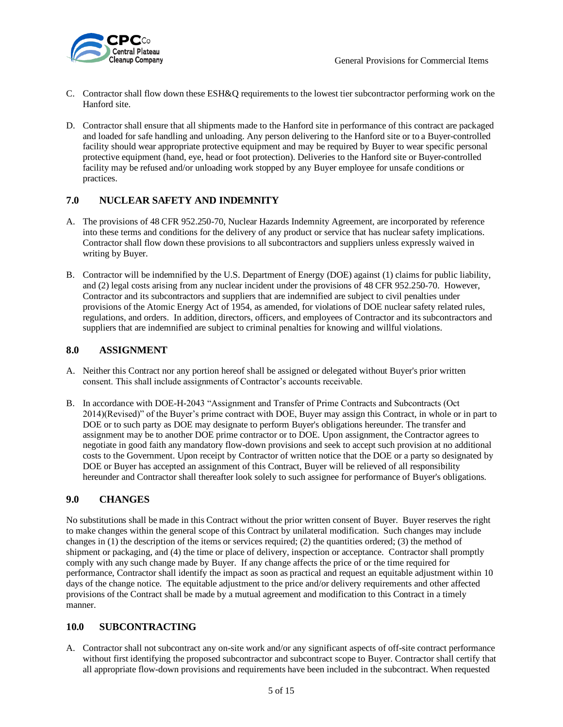



- C. Contractor shall flow down these ESH&Q requirements to the lowest tier subcontractor performing work on the Hanford site.
- D. Contractor shall ensure that all shipments made to the Hanford site in performance of this contract are packaged and loaded for safe handling and unloading. Any person delivering to the Hanford site or to a Buyer-controlled facility should wear appropriate protective equipment and may be required by Buyer to wear specific personal protective equipment (hand, eye, head or foot protection). Deliveries to the Hanford site or Buyer-controlled facility may be refused and/or unloading work stopped by any Buyer employee for unsafe conditions or practices.

### <span id="page-4-0"></span>**7.0 NUCLEAR SAFETY AND INDEMNITY**

- A. The provisions of 48 CFR 952.250-70, Nuclear Hazards Indemnity Agreement, are incorporated by reference into these terms and conditions for the delivery of any product or service that has nuclear safety implications. Contractor shall flow down these provisions to all subcontractors and suppliers unless expressly waived in writing by Buyer.
- B. Contractor will be indemnified by the U.S. Department of Energy (DOE) against (1) claims for public liability, and (2) legal costs arising from any nuclear incident under the provisions of 48 CFR 952.250-70. However, Contractor and its subcontractors and suppliers that are indemnified are subject to civil penalties under provisions of the Atomic Energy Act of 1954, as amended, for violations of DOE nuclear safety related rules, regulations, and orders. In addition, directors, officers, and employees of Contractor and its subcontractors and suppliers that are indemnified are subject to criminal penalties for knowing and willful violations.

#### <span id="page-4-1"></span>**8.0 ASSIGNMENT**

- A. Neither this Contract nor any portion hereof shall be assigned or delegated without Buyer's prior written consent. This shall include assignments of Contractor's accounts receivable.
- B. In accordance with DOE-H-2043 "Assignment and Transfer of Prime Contracts and Subcontracts (Oct 2014)(Revised)" of the Buyer's prime contract with DOE, Buyer may assign this Contract, in whole or in part to DOE or to such party as DOE may designate to perform Buyer's obligations hereunder. The transfer and assignment may be to another DOE prime contractor or to DOE. Upon assignment, the Contractor agrees to negotiate in good faith any mandatory flow-down provisions and seek to accept such provision at no additional costs to the Government. Upon receipt by Contractor of written notice that the DOE or a party so designated by DOE or Buyer has accepted an assignment of this Contract, Buyer will be relieved of all responsibility hereunder and Contractor shall thereafter look solely to such assignee for performance of Buyer's obligations.

## <span id="page-4-2"></span>**9.0 CHANGES**

No substitutions shall be made in this Contract without the prior written consent of Buyer. Buyer reserves the right to make changes within the general scope of this Contract by unilateral modification. Such changes may include changes in (1) the description of the items or services required; (2) the quantities ordered; (3) the method of shipment or packaging, and (4) the time or place of delivery, inspection or acceptance. Contractor shall promptly comply with any such change made by Buyer. If any change affects the price of or the time required for performance, Contractor shall identify the impact as soon as practical and request an equitable adjustment within 10 days of the change notice. The equitable adjustment to the price and/or delivery requirements and other affected provisions of the Contract shall be made by a mutual agreement and modification to this Contract in a timely manner.

#### <span id="page-4-3"></span>**10.0 SUBCONTRACTING**

A. Contractor shall not subcontract any on-site work and/or any significant aspects of off-site contract performance without first identifying the proposed subcontractor and subcontract scope to Buyer. Contractor shall certify that all appropriate flow-down provisions and requirements have been included in the subcontract. When requested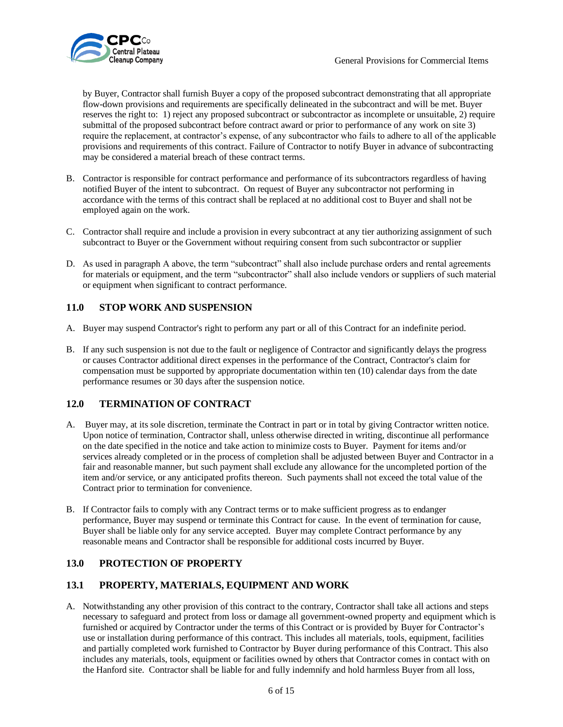

by Buyer, Contractor shall furnish Buyer a copy of the proposed subcontract demonstrating that all appropriate flow-down provisions and requirements are specifically delineated in the subcontract and will be met. Buyer reserves the right to: 1) reject any proposed subcontract or subcontractor as incomplete or unsuitable, 2) require submittal of the proposed subcontract before contract award or prior to performance of any work on site 3) require the replacement, at contractor's expense, of any subcontractor who fails to adhere to all of the applicable provisions and requirements of this contract. Failure of Contractor to notify Buyer in advance of subcontracting may be considered a material breach of these contract terms.

- B. Contractor is responsible for contract performance and performance of its subcontractors regardless of having notified Buyer of the intent to subcontract. On request of Buyer any subcontractor not performing in accordance with the terms of this contract shall be replaced at no additional cost to Buyer and shall not be employed again on the work.
- C. Contractor shall require and include a provision in every subcontract at any tier authorizing assignment of such subcontract to Buyer or the Government without requiring consent from such subcontractor or supplier
- D. As used in paragraph A above, the term "subcontract" shall also include purchase orders and rental agreements for materials or equipment, and the term "subcontractor" shall also include vendors or suppliers of such material or equipment when significant to contract performance.

### <span id="page-5-0"></span>**11.0 STOP WORK AND SUSPENSION**

- A. Buyer may suspend Contractor's right to perform any part or all of this Contract for an indefinite period.
- B. If any such suspension is not due to the fault or negligence of Contractor and significantly delays the progress or causes Contractor additional direct expenses in the performance of the Contract, Contractor's claim for compensation must be supported by appropriate documentation within ten (10) calendar days from the date performance resumes or 30 days after the suspension notice.

### <span id="page-5-1"></span>**12.0 TERMINATION OF CONTRACT**

- A. Buyer may, at its sole discretion, terminate the Contract in part or in total by giving Contractor written notice. Upon notice of termination, Contractor shall, unless otherwise directed in writing, discontinue all performance on the date specified in the notice and take action to minimize costs to Buyer. Payment for items and/or services already completed or in the process of completion shall be adjusted between Buyer and Contractor in a fair and reasonable manner, but such payment shall exclude any allowance for the uncompleted portion of the item and/or service, or any anticipated profits thereon. Such payments shall not exceed the total value of the Contract prior to termination for convenience.
- B. If Contractor fails to comply with any Contract terms or to make sufficient progress as to endanger performance, Buyer may suspend or terminate this Contract for cause. In the event of termination for cause, Buyer shall be liable only for any service accepted. Buyer may complete Contract performance by any reasonable means and Contractor shall be responsible for additional costs incurred by Buyer.

### <span id="page-5-2"></span>**13.0 PROTECTION OF PROPERTY**

### <span id="page-5-3"></span>**13.1 PROPERTY, MATERIALS, EQUIPMENT AND WORK**

A. Notwithstanding any other provision of this contract to the contrary, Contractor shall take all actions and steps necessary to safeguard and protect from loss or damage all government-owned property and equipment which is furnished or acquired by Contractor under the terms of this Contract or is provided by Buyer for Contractor's use or installation during performance of this contract. This includes all materials, tools, equipment, facilities and partially completed work furnished to Contractor by Buyer during performance of this Contract. This also includes any materials, tools, equipment or facilities owned by others that Contractor comes in contact with on the Hanford site. Contractor shall be liable for and fully indemnify and hold harmless Buyer from all loss,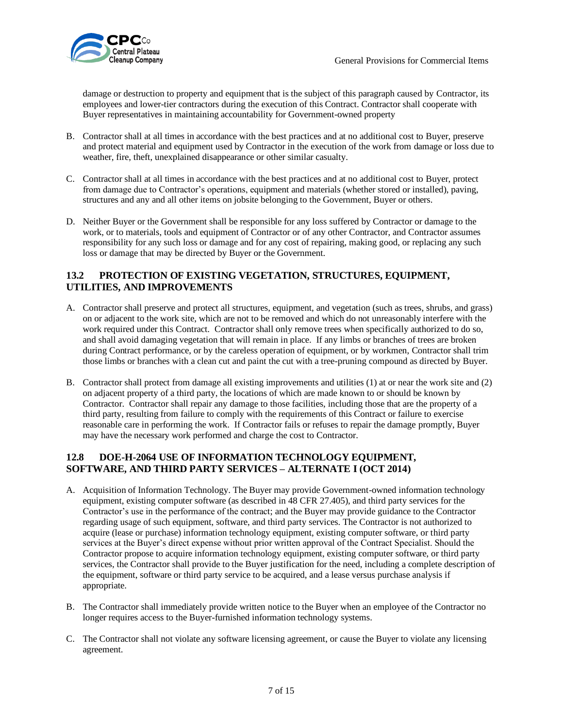damage or destruction to property and equipment that is the subject of this paragraph caused by Contractor, its employees and lower-tier contractors during the execution of this Contract. Contractor shall cooperate with Buyer representatives in maintaining accountability for Government-owned property

- B. Contractor shall at all times in accordance with the best practices and at no additional cost to Buyer, preserve and protect material and equipment used by Contractor in the execution of the work from damage or loss due to weather, fire, theft, unexplained disappearance or other similar casualty.
- C. Contractor shall at all times in accordance with the best practices and at no additional cost to Buyer, protect from damage due to Contractor's operations, equipment and materials (whether stored or installed), paving, structures and any and all other items on jobsite belonging to the Government, Buyer or others.
- D. Neither Buyer or the Government shall be responsible for any loss suffered by Contractor or damage to the work, or to materials, tools and equipment of Contractor or of any other Contractor, and Contractor assumes responsibility for any such loss or damage and for any cost of repairing, making good, or replacing any such loss or damage that may be directed by Buyer or the Government.

## <span id="page-6-0"></span>**13.2 PROTECTION OF EXISTING VEGETATION, STRUCTURES, EQUIPMENT, UTILITIES, AND IMPROVEMENTS**

- A. Contractor shall preserve and protect all structures, equipment, and vegetation (such as trees, shrubs, and grass) on or adjacent to the work site, which are not to be removed and which do not unreasonably interfere with the work required under this Contract. Contractor shall only remove trees when specifically authorized to do so, and shall avoid damaging vegetation that will remain in place. If any limbs or branches of trees are broken during Contract performance, or by the careless operation of equipment, or by workmen, Contractor shall trim those limbs or branches with a clean cut and paint the cut with a tree-pruning compound as directed by Buyer.
- B. Contractor shall protect from damage all existing improvements and utilities (1) at or near the work site and (2) on adjacent property of a third party, the locations of which are made known to or should be known by Contractor. Contractor shall repair any damage to those facilities, including those that are the property of a third party, resulting from failure to comply with the requirements of this Contract or failure to exercise reasonable care in performing the work. If Contractor fails or refuses to repair the damage promptly, Buyer may have the necessary work performed and charge the cost to Contractor.

## <span id="page-6-1"></span>**12.8 DOE-H-2064 USE OF INFORMATION TECHNOLOGY EQUIPMENT, SOFTWARE, AND THIRD PARTY SERVICES – ALTERNATE I (OCT 2014)**

- A. Acquisition of Information Technology. The Buyer may provide Government-owned information technology equipment, existing computer software (as described in 48 CFR 27.405), and third party services for the Contractor's use in the performance of the contract; and the Buyer may provide guidance to the Contractor regarding usage of such equipment, software, and third party services. The Contractor is not authorized to acquire (lease or purchase) information technology equipment, existing computer software, or third party services at the Buyer's direct expense without prior written approval of the Contract Specialist. Should the Contractor propose to acquire information technology equipment, existing computer software, or third party services, the Contractor shall provide to the Buyer justification for the need, including a complete description of the equipment, software or third party service to be acquired, and a lease versus purchase analysis if appropriate.
- B. The Contractor shall immediately provide written notice to the Buyer when an employee of the Contractor no longer requires access to the Buyer-furnished information technology systems.
- C. The Contractor shall not violate any software licensing agreement, or cause the Buyer to violate any licensing agreement.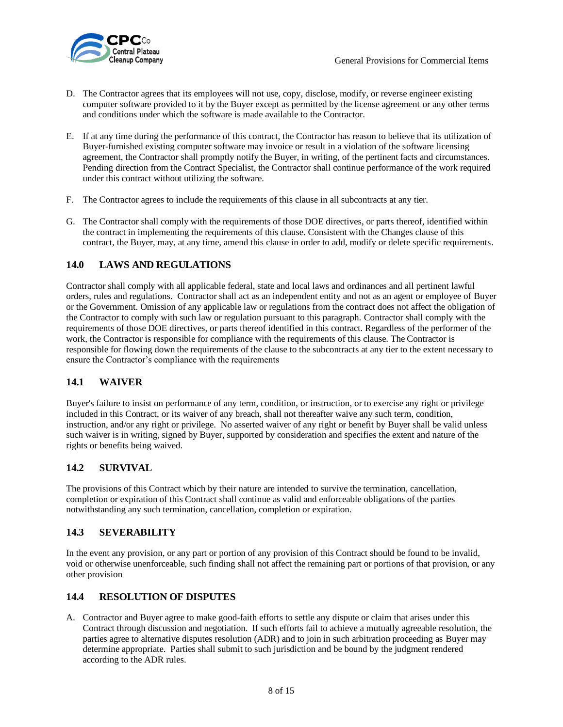

- D. The Contractor agrees that its employees will not use, copy, disclose, modify, or reverse engineer existing computer software provided to it by the Buyer except as permitted by the license agreement or any other terms and conditions under which the software is made available to the Contractor.
- E. If at any time during the performance of this contract, the Contractor has reason to believe that its utilization of Buyer-furnished existing computer software may invoice or result in a violation of the software licensing agreement, the Contractor shall promptly notify the Buyer, in writing, of the pertinent facts and circumstances. Pending direction from the Contract Specialist, the Contractor shall continue performance of the work required under this contract without utilizing the software.
- F. The Contractor agrees to include the requirements of this clause in all subcontracts at any tier.
- G. The Contractor shall comply with the requirements of those DOE directives, or parts thereof, identified within the contract in implementing the requirements of this clause. Consistent with the Changes clause of this contract, the Buyer, may, at any time, amend this clause in order to add, modify or delete specific requirements.

# <span id="page-7-0"></span>**14.0 LAWS AND REGULATIONS**

Contractor shall comply with all applicable federal, state and local laws and ordinances and all pertinent lawful orders, rules and regulations. Contractor shall act as an independent entity and not as an agent or employee of Buyer or the Government. Omission of any applicable law or regulations from the contract does not affect the obligation of the Contractor to comply with such law or regulation pursuant to this paragraph. Contractor shall comply with the requirements of those DOE directives, or parts thereof identified in this contract. Regardless of the performer of the work, the Contractor is responsible for compliance with the requirements of this clause. The Contractor is responsible for flowing down the requirements of the clause to the subcontracts at any tier to the extent necessary to ensure the Contractor's compliance with the requirements

### <span id="page-7-1"></span>**14.1 WAIVER**

Buyer's failure to insist on performance of any term, condition, or instruction, or to exercise any right or privilege included in this Contract, or its waiver of any breach, shall not thereafter waive any such term, condition, instruction, and/or any right or privilege. No asserted waiver of any right or benefit by Buyer shall be valid unless such waiver is in writing, signed by Buyer, supported by consideration and specifies the extent and nature of the rights or benefits being waived.

### <span id="page-7-2"></span>**14.2 SURVIVAL**

The provisions of this Contract which by their nature are intended to survive the termination, cancellation, completion or expiration of this Contract shall continue as valid and enforceable obligations of the parties notwithstanding any such termination, cancellation, completion or expiration.

### <span id="page-7-3"></span>**14.3 SEVERABILITY**

In the event any provision, or any part or portion of any provision of this Contract should be found to be invalid, void or otherwise unenforceable, such finding shall not affect the remaining part or portions of that provision, or any other provision

#### <span id="page-7-4"></span>**14.4 RESOLUTION OF DISPUTES**

A. Contractor and Buyer agree to make good-faith efforts to settle any dispute or claim that arises under this Contract through discussion and negotiation. If such efforts fail to achieve a mutually agreeable resolution, the parties agree to alternative disputes resolution (ADR) and to join in such arbitration proceeding as Buyer may determine appropriate. Parties shall submit to such jurisdiction and be bound by the judgment rendered according to the ADR rules.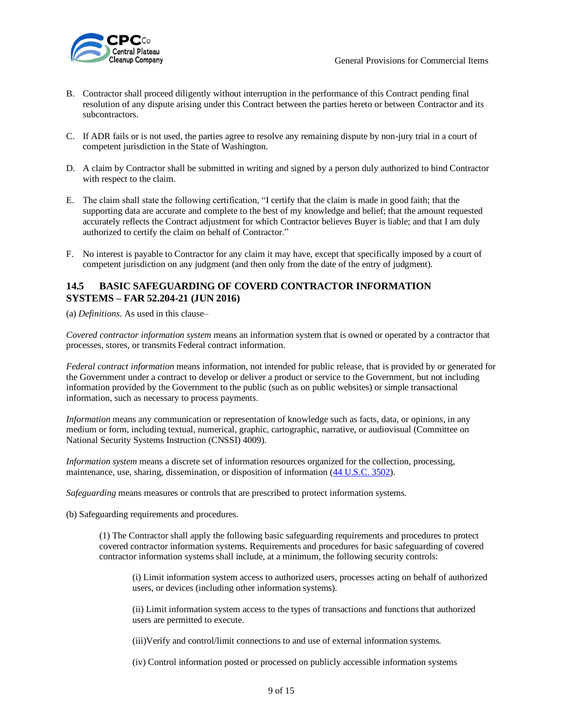

- B. Contractor shall proceed diligently without interruption in the performance of this Contract pending final resolution of any dispute arising under this Contract between the parties hereto or between Contractor and its subcontractors.
- C. If ADR fails or is not used, the parties agree to resolve any remaining dispute by non-jury trial in a court of competent jurisdiction in the State of Washington.
- D. A claim by Contractor shall be submitted in writing and signed by a person duly authorized to bind Contractor with respect to the claim.
- E. The claim shall state the following certification, "I certify that the claim is made in good faith; that the supporting data are accurate and complete to the best of my knowledge and belief; that the amount requested accurately reflects the Contract adjustment for which Contractor believes Buyer is liable; and that I am duly authorized to certify the claim on behalf of Contractor."
- F. No interest is payable to Contractor for any claim it may have, except that specifically imposed by a court of competent jurisdiction on any judgment (and then only from the date of the entry of judgment).

## <span id="page-8-0"></span>**14.5 BASIC SAFEGUARDING OF COVERD CONTRACTOR INFORMATION SYSTEMS – FAR 52.204-21 (JUN 2016)**

(a) *Definitions*. As used in this clause–

*Covered contractor information system* means an information system that is owned or operated by a contractor that processes, stores, or transmits Federal contract information.

*Federal contract information* means information, not intended for public release, that is provided by or generated for the Government under a contract to develop or deliver a product or service to the Government, but not including information provided by the Government to the public (such as on public websites) or simple transactional information, such as necessary to process payments.

*Information* means any communication or representation of knowledge such as facts, data, or opinions, in any medium or form, including textual, numerical, graphic, cartographic, narrative, or audiovisual (Committee on National Security Systems Instruction (CNSSI) 4009).

*Information system* means a discrete set of information resources organized for the collection, processing, maintenance, use, sharing, dissemination, or disposition of information [\(44 U.S.C. 3502\)](http://uscode.house.gov/browse.xhtml;jsessionid=114A3287C7B3359E597506A31FC855B3).

*Safeguarding* means measures or controls that are prescribed to protect information systems.

(b) Safeguarding requirements and procedures.

(1) The Contractor shall apply the following basic safeguarding requirements and procedures to protect covered contractor information systems. Requirements and procedures for basic safeguarding of covered contractor information systems shall include, at a minimum, the following security controls:

(i) Limit information system access to authorized users, processes acting on behalf of authorized users, or devices (including other information systems).

(ii) Limit information system access to the types of transactions and functions that authorized users are permitted to execute.

(iii)Verify and control/limit connections to and use of external information systems.

(iv) Control information posted or processed on publicly accessible information systems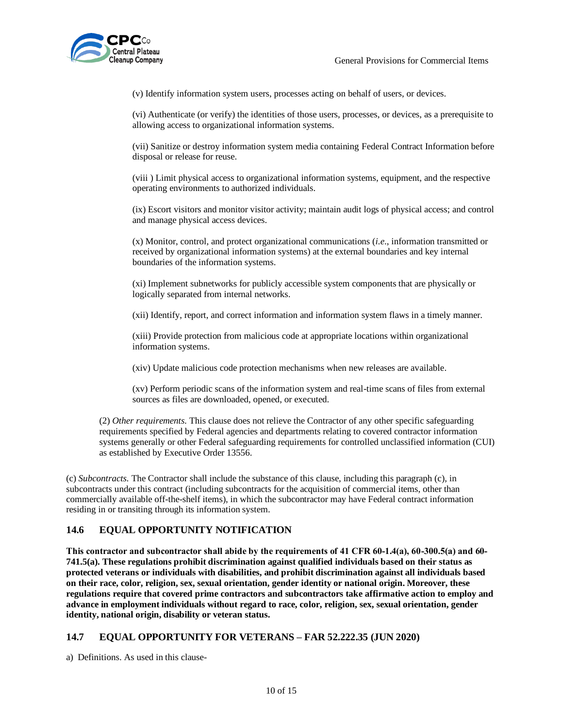

(v) Identify information system users, processes acting on behalf of users, or devices.

(vi) Authenticate (or verify) the identities of those users, processes, or devices, as a prerequisite to allowing access to organizational information systems.

(vii) Sanitize or destroy information system media containing Federal Contract Information before disposal or release for reuse.

(viii ) Limit physical access to organizational information systems, equipment, and the respective operating environments to authorized individuals.

(ix) Escort visitors and monitor visitor activity; maintain audit logs of physical access; and control and manage physical access devices.

(x) Monitor, control, and protect organizational communications (*i.e*., information transmitted or received by organizational information systems) at the external boundaries and key internal boundaries of the information systems.

(xi) Implement subnetworks for publicly accessible system components that are physically or logically separated from internal networks.

(xii) Identify, report, and correct information and information system flaws in a timely manner.

(xiii) Provide protection from malicious code at appropriate locations within organizational information systems.

(xiv) Update malicious code protection mechanisms when new releases are available.

(xv) Perform periodic scans of the information system and real-time scans of files from external sources as files are downloaded, opened, or executed.

(2) *Other requirements.* This clause does not relieve the Contractor of any other specific safeguarding requirements specified by Federal agencies and departments relating to covered contractor information systems generally or other Federal safeguarding requirements for controlled unclassified information (CUI) as established by Executive Order 13556.

(c) *Subcontracts.* The Contractor shall include the substance of this clause, including this paragraph (c), in subcontracts under this contract (including subcontracts for the acquisition of commercial items, other than commercially available off-the-shelf items), in which the subcontractor may have Federal contract information residing in or transiting through its information system.

### <span id="page-9-0"></span>**14.6 EQUAL OPPORTUNITY NOTIFICATION**

**This contractor and subcontractor shall abide by the requirements of 41 CFR 60‐1.4(a), 60‐300.5(a) and 60‐ 741.5(a). These regulations prohibit discrimination against qualified individuals based on their status as protected veterans or individuals with disabilities, and prohibit discrimination against all individuals based on their race, color, religion, sex, sexual orientation, gender identity or national origin. Moreover, these regulations require that covered prime contractors and subcontractors take affirmative action to employ and advance in employment individuals without regard to race, color, religion, sex, sexual orientation, gender identity, national origin, disability or veteran status.**

#### <span id="page-9-1"></span>**14.7 EQUAL OPPORTUNITY FOR VETERANS – FAR 52.222.35 (JUN 2020)**

a) Definitions. As used in this clause-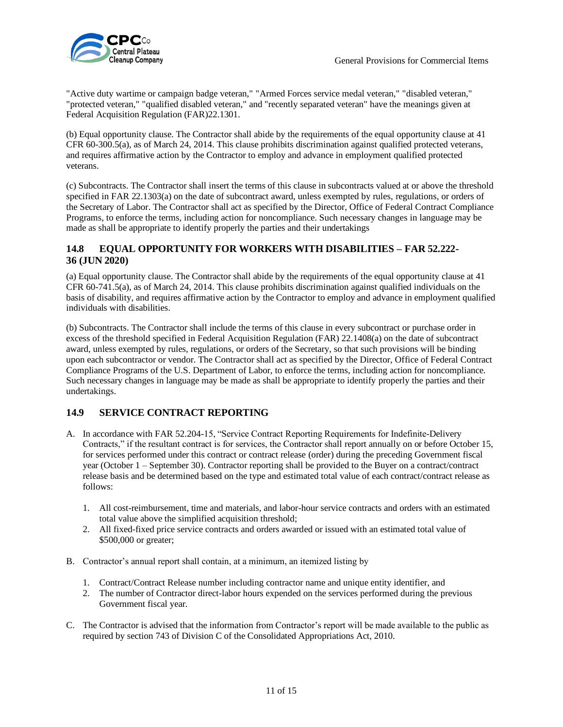

"Active duty wartime or campaign badge veteran," "Armed Forces service medal veteran," "disabled veteran," "protected veteran," "qualified disabled veteran," and "recently separated veteran" have the meanings given at Federal Acquisition Regulation (FAR)22.1301.

(b) Equal opportunity clause. The Contractor shall abide by the requirements of the equal opportunity clause at 41 CFR 60-300.5(a), as of March 24, 2014. This clause prohibits discrimination against qualified protected veterans, and requires affirmative action by the Contractor to employ and advance in employment qualified protected veterans.

(c) Subcontracts. The Contractor shall insert the terms of this clause in subcontracts valued at or above the threshold specified in FAR 22.1303(a) on the date of subcontract award, unless exempted by rules, regulations, or orders of the Secretary of Labor. The Contractor shall act as specified by the Director, Office of Federal Contract Compliance Programs, to enforce the terms, including action for noncompliance. Such necessary changes in language may be made as shall be appropriate to identify properly the parties and their undertakings

## <span id="page-10-0"></span>**14.8 EQUAL OPPORTUNITY FOR WORKERS WITH DISABILITIES – FAR 52.222- 36 (JUN 2020)**

(a) Equal opportunity clause. The Contractor shall abide by the requirements of the equal opportunity clause at 41 CFR 60-741.5(a), as of March 24, 2014. This clause prohibits discrimination against qualified individuals on the basis of disability, and requires affirmative action by the Contractor to employ and advance in employment qualified individuals with disabilities.

(b) Subcontracts. The Contractor shall include the terms of this clause in every subcontract or purchase order in excess of the threshold specified in Federal Acquisition Regulation (FAR) 22.1408(a) on the date of subcontract award, unless exempted by rules, regulations, or orders of the Secretary, so that such provisions will be binding upon each subcontractor or vendor. The Contractor shall act as specified by the Director, Office of Federal Contract Compliance Programs of the U.S. Department of Labor, to enforce the terms, including action for noncompliance. Such necessary changes in language may be made as shall be appropriate to identify properly the parties and their undertakings.

### <span id="page-10-1"></span>**14.9 SERVICE CONTRACT REPORTING**

- A. In accordance with FAR 52.204-15, "Service Contract Reporting Requirements for Indefinite-Delivery Contracts," if the resultant contract is for services, the Contractor shall report annually on or before October 15, for services performed under this contract or contract release (order) during the preceding Government fiscal year (October 1 – September 30). Contractor reporting shall be provided to the Buyer on a contract/contract release basis and be determined based on the type and estimated total value of each contract/contract release as follows:
	- 1. All cost-reimbursement, time and materials, and labor-hour service contracts and orders with an estimated total value above the simplified acquisition threshold;
	- 2. All fixed-fixed price service contracts and orders awarded or issued with an estimated total value of \$500,000 or greater;
- B. Contractor's annual report shall contain, at a minimum, an itemized listing by
	- 1. Contract/Contract Release number including contractor name and unique entity identifier, and
	- 2. The number of Contractor direct-labor hours expended on the services performed during the previous Government fiscal year.
- C. The Contractor is advised that the information from Contractor's report will be made available to the public as required by section 743 of Division C of the Consolidated Appropriations Act, 2010.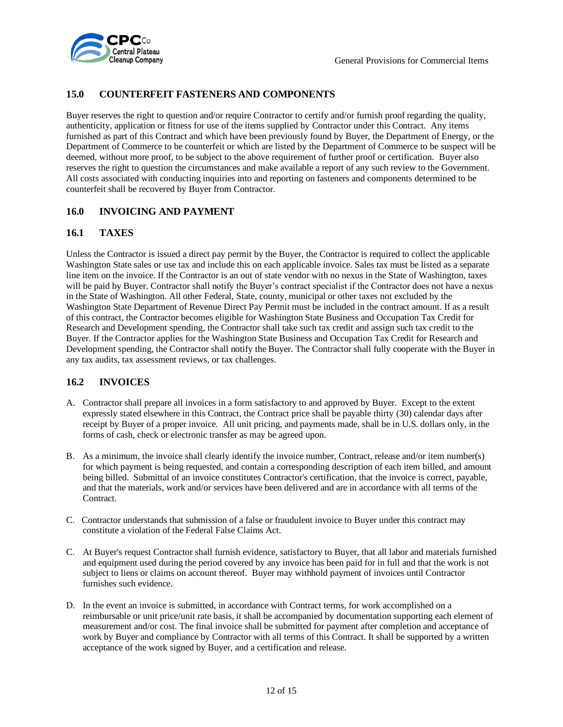

## <span id="page-11-0"></span>**15.0 COUNTERFEIT FASTENERS AND COMPONENTS**

Buyer reserves the right to question and/or require Contractor to certify and/or furnish proof regarding the quality, authenticity, application or fitness for use of the items supplied by Contractor under this Contract. Any items furnished as part of this Contract and which have been previously found by Buyer, the Department of Energy, or the Department of Commerce to be counterfeit or which are listed by the Department of Commerce to be suspect will be deemed, without more proof, to be subject to the above requirement of further proof or certification. Buyer also reserves the right to question the circumstances and make available a report of any such review to the Government. All costs associated with conducting inquiries into and reporting on fasteners and components determined to be counterfeit shall be recovered by Buyer from Contractor.

# <span id="page-11-1"></span>**16.0 INVOICING AND PAYMENT**

### <span id="page-11-2"></span>**16.1 TAXES**

Unless the Contractor is issued a direct pay permit by the Buyer, the Contractor is required to collect the applicable Washington State sales or use tax and include this on each applicable invoice. Sales tax must be listed as a separate line item on the invoice. If the Contractor is an out of state vendor with no nexus in the State of Washington, taxes will be paid by Buyer. Contractor shall notify the Buyer's contract specialist if the Contractor does not have a nexus in the State of Washington. All other Federal, State, county, municipal or other taxes not excluded by the Washington State Department of Revenue Direct Pay Permit must be included in the contract amount. If as a result of this contract, the Contractor becomes eligible for Washington State Business and Occupation Tax Credit for Research and Development spending, the Contractor shall take such tax credit and assign such tax credit to the Buyer. If the Contractor applies for the Washington State Business and Occupation Tax Credit for Research and Development spending, the Contractor shall notify the Buyer. The Contractor shall fully cooperate with the Buyer in any tax audits, tax assessment reviews, or tax challenges.

### <span id="page-11-3"></span>**16.2 INVOICES**

- A. Contractor shall prepare all invoices in a form satisfactory to and approved by Buyer. Except to the extent expressly stated elsewhere in this Contract, the Contract price shall be payable thirty (30) calendar days after receipt by Buyer of a proper invoice. All unit pricing, and payments made, shall be in U.S. dollars only, in the forms of cash, check or electronic transfer as may be agreed upon.
- B. As a minimum, the invoice shall clearly identify the invoice number, Contract, release and/or item number(s) for which payment is being requested, and contain a corresponding description of each item billed, and amount being billed. Submittal of an invoice constitutes Contractor's certification, that the invoice is correct, payable, and that the materials, work and/or services have been delivered and are in accordance with all terms of the Contract.
- C. Contractor understands that submission of a false or fraudulent invoice to Buyer under this contract may constitute a violation of the Federal False Claims Act.
- C. At Buyer's request Contractor shall furnish evidence, satisfactory to Buyer, that all labor and materials furnished and equipment used during the period covered by any invoice has been paid for in full and that the work is not subject to liens or claims on account thereof. Buyer may withhold payment of invoices until Contractor furnishes such evidence.
- D. In the event an invoice is submitted, in accordance with Contract terms, for work accomplished on a reimbursable or unit price/unit rate basis, it shall be accompanied by documentation supporting each element of measurement and/or cost. The final invoice shall be submitted for payment after completion and acceptance of work by Buyer and compliance by Contractor with all terms of this Contract. It shall be supported by a written acceptance of the work signed by Buyer, and a certification and release.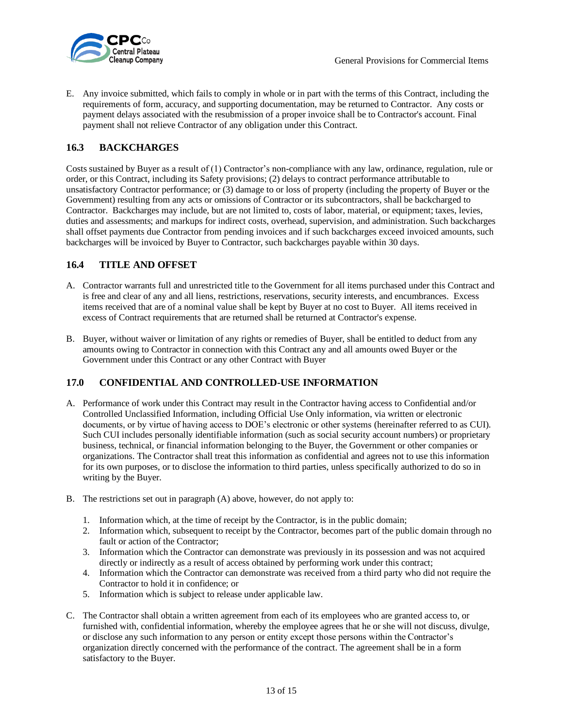

E. Any invoice submitted, which fails to comply in whole or in part with the terms of this Contract, including the requirements of form, accuracy, and supporting documentation, may be returned to Contractor. Any costs or payment delays associated with the resubmission of a proper invoice shall be to Contractor's account. Final payment shall not relieve Contractor of any obligation under this Contract.

# <span id="page-12-0"></span>**16.3 BACKCHARGES**

Costs sustained by Buyer as a result of (1) Contractor's non-compliance with any law, ordinance, regulation, rule or order, or this Contract, including its Safety provisions; (2) delays to contract performance attributable to unsatisfactory Contractor performance; or (3) damage to or loss of property (including the property of Buyer or the Government) resulting from any acts or omissions of Contractor or its subcontractors, shall be backcharged to Contractor. Backcharges may include, but are not limited to, costs of labor, material, or equipment; taxes, levies, duties and assessments; and markups for indirect costs, overhead, supervision, and administration. Such backcharges shall offset payments due Contractor from pending invoices and if such backcharges exceed invoiced amounts, such backcharges will be invoiced by Buyer to Contractor, such backcharges payable within 30 days.

## <span id="page-12-1"></span>**16.4 TITLE AND OFFSET**

- A. Contractor warrants full and unrestricted title to the Government for all items purchased under this Contract and is free and clear of any and all liens, restrictions, reservations, security interests, and encumbrances. Excess items received that are of a nominal value shall be kept by Buyer at no cost to Buyer. All items received in excess of Contract requirements that are returned shall be returned at Contractor's expense.
- B. Buyer, without waiver or limitation of any rights or remedies of Buyer, shall be entitled to deduct from any amounts owing to Contractor in connection with this Contract any and all amounts owed Buyer or the Government under this Contract or any other Contract with Buyer

### <span id="page-12-2"></span>**17.0 CONFIDENTIAL AND CONTROLLED-USE INFORMATION**

- A. Performance of work under this Contract may result in the Contractor having access to Confidential and/or Controlled Unclassified Information, including Official Use Only information, via written or electronic documents, or by virtue of having access to DOE's electronic or other systems (hereinafter referred to as CUI). Such CUI includes personally identifiable information (such as social security account numbers) or proprietary business, technical, or financial information belonging to the Buyer, the Government or other companies or organizations. The Contractor shall treat this information as confidential and agrees not to use this information for its own purposes, or to disclose the information to third parties, unless specifically authorized to do so in writing by the Buyer.
- B. The restrictions set out in paragraph (A) above, however, do not apply to:
	- 1. Information which, at the time of receipt by the Contractor, is in the public domain;
	- 2. Information which, subsequent to receipt by the Contractor, becomes part of the public domain through no fault or action of the Contractor;
	- 3. Information which the Contractor can demonstrate was previously in its possession and was not acquired directly or indirectly as a result of access obtained by performing work under this contract;
	- 4. Information which the Contractor can demonstrate was received from a third party who did not require the Contractor to hold it in confidence; or
	- 5. Information which is subject to release under applicable law.
- C. The Contractor shall obtain a written agreement from each of its employees who are granted access to, or furnished with, confidential information, whereby the employee agrees that he or she will not discuss, divulge, or disclose any such information to any person or entity except those persons within the Contractor's organization directly concerned with the performance of the contract. The agreement shall be in a form satisfactory to the Buyer.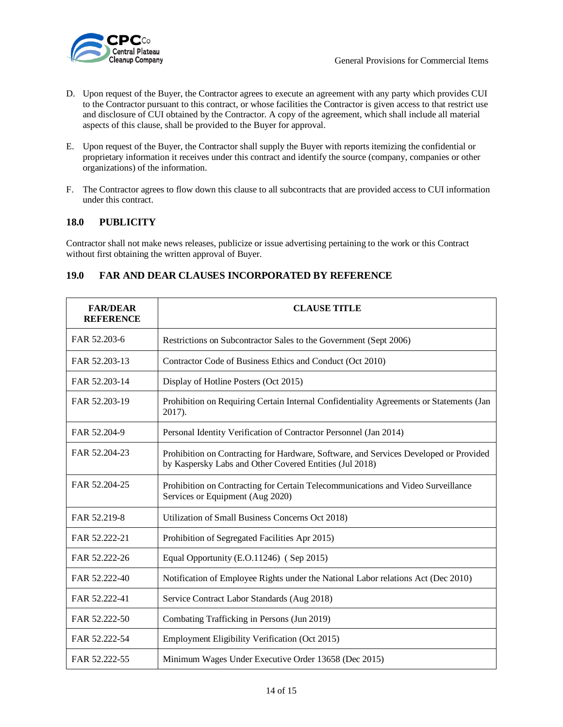

- D. Upon request of the Buyer, the Contractor agrees to execute an agreement with any party which provides CUI to the Contractor pursuant to this contract, or whose facilities the Contractor is given access to that restrict use and disclosure of CUI obtained by the Contractor. A copy of the agreement, which shall include all material aspects of this clause, shall be provided to the Buyer for approval.
- E. Upon request of the Buyer, the Contractor shall supply the Buyer with reports itemizing the confidential or proprietary information it receives under this contract and identify the source (company, companies or other organizations) of the information.
- F. The Contractor agrees to flow down this clause to all subcontracts that are provided access to CUI information under this contract.

# <span id="page-13-0"></span>**18.0 PUBLICITY**

Contractor shall not make news releases, publicize or issue advertising pertaining to the work or this Contract without first obtaining the written approval of Buyer.

## <span id="page-13-1"></span>**19.0 FAR AND DEAR CLAUSES INCORPORATED BY REFERENCE**

| <b>FAR/DEAR</b><br><b>REFERENCE</b> | <b>CLAUSE TITLE</b>                                                                                                                              |
|-------------------------------------|--------------------------------------------------------------------------------------------------------------------------------------------------|
| FAR 52.203-6                        | Restrictions on Subcontractor Sales to the Government (Sept 2006)                                                                                |
| FAR 52.203-13                       | Contractor Code of Business Ethics and Conduct (Oct 2010)                                                                                        |
| FAR 52.203-14                       | Display of Hotline Posters (Oct 2015)                                                                                                            |
| FAR 52.203-19                       | Prohibition on Requiring Certain Internal Confidentiality Agreements or Statements (Jan<br>2017).                                                |
| FAR 52.204-9                        | Personal Identity Verification of Contractor Personnel (Jan 2014)                                                                                |
| FAR 52.204-23                       | Prohibition on Contracting for Hardware, Software, and Services Developed or Provided<br>by Kaspersky Labs and Other Covered Entities (Jul 2018) |
| FAR 52.204-25                       | Prohibition on Contracting for Certain Telecommunications and Video Surveillance<br>Services or Equipment (Aug 2020)                             |
| FAR 52.219-8                        | Utilization of Small Business Concerns Oct 2018)                                                                                                 |
| FAR 52.222-21                       | Prohibition of Segregated Facilities Apr 2015)                                                                                                   |
| FAR 52.222-26                       | Equal Opportunity (E.O.11246) (Sep 2015)                                                                                                         |
| FAR 52.222-40                       | Notification of Employee Rights under the National Labor relations Act (Dec 2010)                                                                |
| FAR 52.222-41                       | Service Contract Labor Standards (Aug 2018)                                                                                                      |
| FAR 52.222-50                       | Combating Trafficking in Persons (Jun 2019)                                                                                                      |
| FAR 52.222-54                       | Employment Eligibility Verification (Oct 2015)                                                                                                   |
| FAR 52.222-55                       | Minimum Wages Under Executive Order 13658 (Dec 2015)                                                                                             |